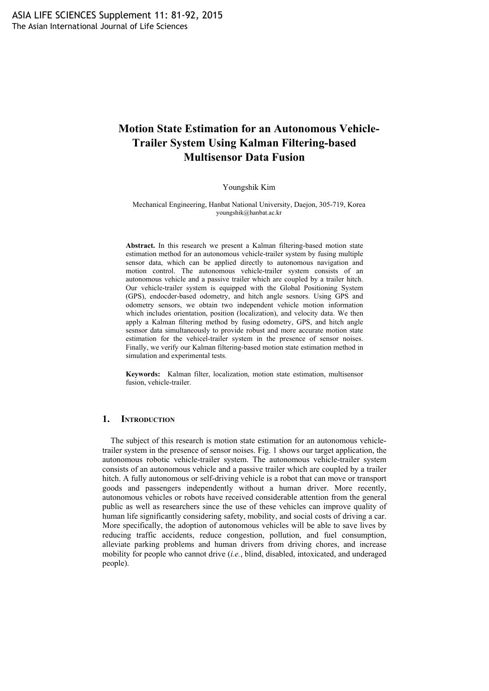# **Motion State Estimation for an Autonomous Vehicle-Trailer System Using Kalman Filtering-based Multisensor Data Fusion**

#### Youngshik Kim

Mechanical Engineering, Hanbat National University, Daejon, 305-719, Korea youngshik@hanbat.ac.kr

**Abstract.** In this research we present a Kalman filtering-based motion state estimation method for an autonomous vehicle-trailer system by fusing multiple sensor data, which can be applied directly to autonomous navigation and motion control. The autonomous vehicle-trailer system consists of an autonomous vehicle and a passive trailer which are coupled by a trailer hitch. Our vehicle-trailer system is equipped with the Global Positioning System (GPS), endocder-based odometry, and hitch angle sesnors. Using GPS and odometry sensors, we obtain two independent vehicle motion information which includes orientation, position (localization), and velocity data. We then apply a Kalman filtering method by fusing odometry, GPS, and hitch angle sesnsor data simultaneously to provide robust and more accurate motion state estimation for the vehicel-trailer system in the presence of sensor noises. Finally, we verify our Kalman filtering-based motion state estimation method in simulation and experimental tests.

**Keywords:** Kalman filter, localization, motion state estimation, multisensor fusion, vehicle-trailer.

#### **1. INTRODUCTION**

The subject of this research is motion state estimation for an autonomous vehicletrailer system in the presence of sensor noises. Fig. 1 shows our target application, the autonomous robotic vehicle-trailer system. The autonomous vehicle-trailer system consists of an autonomous vehicle and a passive trailer which are coupled by a trailer hitch. A fully autonomous or self-driving vehicle is a robot that can move or transport goods and passengers independently without a human driver. More recently, autonomous vehicles or robots have received considerable attention from the general public as well as researchers since the use of these vehicles can improve quality of human life significantly considering safety, mobility, and social costs of driving a car. More specifically, the adoption of autonomous vehicles will be able to save lives by reducing traffic accidents, reduce congestion, pollution, and fuel consumption, alleviate parking problems and human drivers from driving chores, and increase mobility for people who cannot drive (*i.e.*, blind, disabled, intoxicated, and underaged people).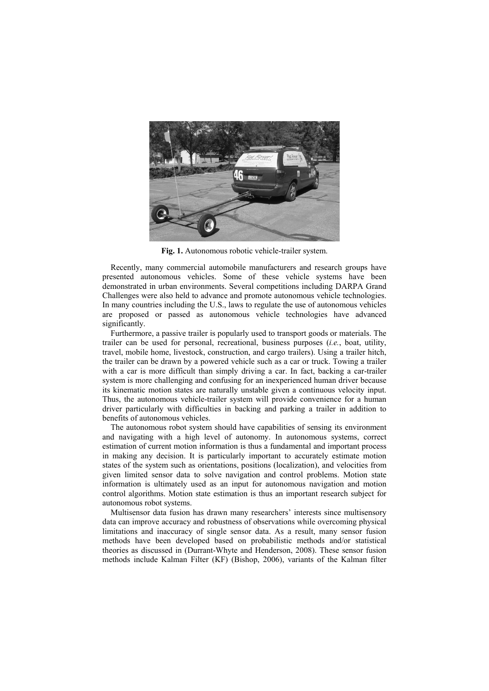

**Fig. 1.** Autonomous robotic vehicle-trailer system.

Recently, many commercial automobile manufacturers and research groups have presented autonomous vehicles. Some of these vehicle systems have been demonstrated in urban environments. Several competitions including DARPA Grand Challenges were also held to advance and promote autonomous vehicle technologies. In many countries including the U.S., laws to regulate the use of autonomous vehicles are proposed or passed as autonomous vehicle technologies have advanced significantly.

Furthermore, a passive trailer is popularly used to transport goods or materials. The trailer can be used for personal, recreational, business purposes (*i.e.*, boat, utility, travel, mobile home, livestock, construction, and cargo trailers). Using a trailer hitch, the trailer can be drawn by a powered vehicle such as a car or truck. Towing a trailer with a car is more difficult than simply driving a car. In fact, backing a car-trailer system is more challenging and confusing for an inexperienced human driver because its kinematic motion states are naturally unstable given a continuous velocity input. Thus, the autonomous vehicle-trailer system will provide convenience for a human driver particularly with difficulties in backing and parking a trailer in addition to benefits of autonomous vehicles.

The autonomous robot system should have capabilities of sensing its environment and navigating with a high level of autonomy. In autonomous systems, correct estimation of current motion information is thus a fundamental and important process in making any decision. It is particularly important to accurately estimate motion states of the system such as orientations, positions (localization), and velocities from given limited sensor data to solve navigation and control problems. Motion state information is ultimately used as an input for autonomous navigation and motion control algorithms. Motion state estimation is thus an important research subject for autonomous robot systems.

Multisensor data fusion has drawn many researchers' interests since multisensory data can improve accuracy and robustness of observations while overcoming physical limitations and inaccuracy of single sensor data. As a result, many sensor fusion methods have been developed based on probabilistic methods and/or statistical theories as discussed in (Durrant-Whyte and Henderson, 2008). These sensor fusion methods include Kalman Filter (KF) (Bishop, 2006), variants of the Kalman filter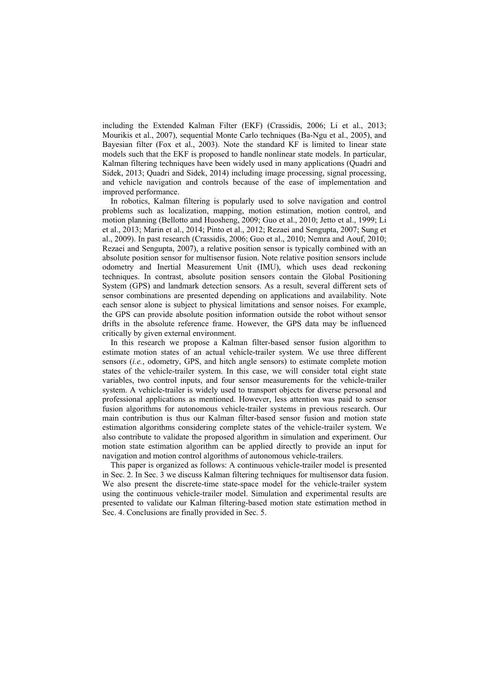including the Extended Kalman Filter (EKF) (Crassidis, 2006; Li et al., 2013; Mourikis et al., 2007), sequential Monte Carlo techniques (Ba-Ngu et al., 2005), and Bayesian filter (Fox et al., 2003). Note the standard KF is limited to linear state models such that the EKF is proposed to handle nonlinear state models. In particular, Kalman filtering techniques have been widely used in many applications (Quadri and Sidek, 2013; Quadri and Sidek, 2014) including image processing, signal processing, and vehicle navigation and controls because of the ease of implementation and improved performance.

In robotics, Kalman filtering is popularly used to solve navigation and control problems such as localization, mapping, motion estimation, motion control, and motion planning (Bellotto and Huosheng, 2009; Guo et al., 2010; Jetto et al., 1999; Li et al., 2013; Marin et al., 2014; Pinto et al., 2012; Rezaei and Sengupta, 2007; Sung et al., 2009). In past research (Crassidis, 2006; Guo et al., 2010; Nemra and Aouf, 2010; Rezaei and Sengupta, 2007), a relative position sensor is typically combined with an absolute position sensor for multisensor fusion. Note relative position sensors include odometry and Inertial Measurement Unit (IMU), which uses dead reckoning techniques. In contrast, absolute position sensors contain the Global Positioning System (GPS) and landmark detection sensors. As a result, several different sets of sensor combinations are presented depending on applications and availability. Note each sensor alone is subject to physical limitations and sensor noises. For example, the GPS can provide absolute position information outside the robot without sensor drifts in the absolute reference frame. However, the GPS data may be influenced critically by given external environment.

In this research we propose a Kalman filter-based sensor fusion algorithm to estimate motion states of an actual vehicle-trailer system. We use three different sensors (*i.e.*, odometry, GPS, and hitch angle sensors) to estimate complete motion states of the vehicle-trailer system. In this case, we will consider total eight state variables, two control inputs, and four sensor measurements for the vehicle-trailer system. A vehicle-trailer is widely used to transport objects for diverse personal and professional applications as mentioned. However, less attention was paid to sensor fusion algorithms for autonomous vehicle-trailer systems in previous research. Our main contribution is thus our Kalman filter-based sensor fusion and motion state estimation algorithms considering complete states of the vehicle-trailer system. We also contribute to validate the proposed algorithm in simulation and experiment. Our motion state estimation algorithm can be applied directly to provide an input for navigation and motion control algorithms of autonomous vehicle-trailers.

This paper is organized as follows: A continuous vehicle-trailer model is presented in Sec. 2. In Sec. 3 we discuss Kalman filtering techniques for multisensor data fusion. We also present the discrete-time state-space model for the vehicle-trailer system using the continuous vehicle-trailer model. Simulation and experimental results are presented to validate our Kalman filtering-based motion state estimation method in Sec. 4. Conclusions are finally provided in Sec. 5.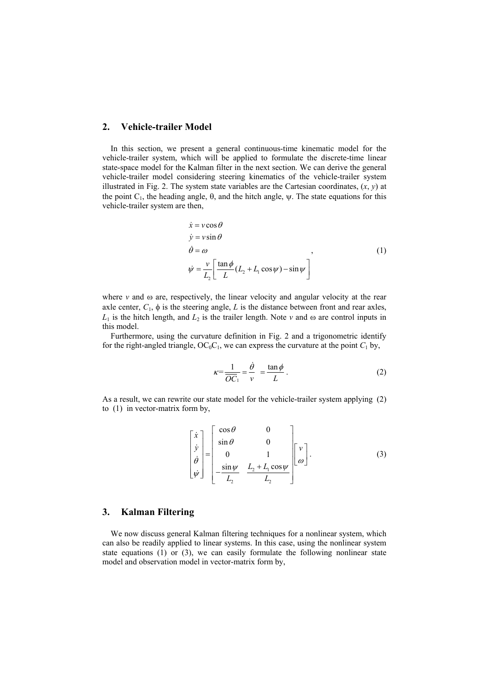## **2. Vehicle-trailer Model**

In this section, we present a general continuous-time kinematic model for the vehicle-trailer system, which will be applied to formulate the discrete-time linear state-space model for the Kalman filter in the next section. We can derive the general vehicle-trailer model considering steering kinematics of the vehicle-trailer system illustrated in Fig. 2. The system state variables are the Cartesian coordinates, (*x*, *y*) at the point  $C_1$ , the heading angle,  $\theta$ , and the hitch angle,  $\psi$ . The state equations for this vehicle-trailer system are then,

$$
\begin{aligned}\n\dot{x} &= v \cos \theta \\
\dot{y} &= v \sin \theta \\
\dot{\theta} &= \omega\n\end{aligned}
$$
\n
$$
\begin{aligned}\n\dot{\psi} &= \frac{v}{L_2} \left[ \frac{\tan \phi}{L} (L_2 + L_1 \cos \psi) - \sin \psi \right]\n\end{aligned}
$$
\n(1)

where  $\nu$  and  $\omega$  are, respectively, the linear velocity and angular velocity at the rear axle center,  $C_1$ ,  $\phi$  is the steering angle,  $L$  is the distance between front and rear axles,  $L_1$  is the hitch length, and  $L_2$  is the trailer length. Note *v* and  $\omega$  are control inputs in this model.

Furthermore, using the curvature definition in Fig. 2 and a trigonometric identify for the right-angled triangle,  $OC_0C_1$ , we can express the curvature at the point  $C_1$  by,

$$
\kappa = \frac{1}{\overline{OC}_1} = \frac{\dot{\theta}}{v} = \frac{\tan \phi}{L} \,. \tag{2}
$$

As a result, we can rewrite our state model for the vehicle-trailer system applying (2) to (1) in vector-matrix form by,

$$
\begin{bmatrix} \dot{x} \\ \dot{y} \\ \dot{\theta} \\ \dot{\psi} \end{bmatrix} = \begin{bmatrix} \cos \theta & 0 \\ \sin \theta & 0 \\ 0 & 1 \\ -\frac{\sin \psi}{L_2} & \frac{L_2 + L_1 \cos \psi}{L_2} \end{bmatrix} \begin{bmatrix} v \\ \omega \end{bmatrix}.
$$
 (3)

# **3. Kalman Filtering**

We now discuss general Kalman filtering techniques for a nonlinear system, which can also be readily applied to linear systems. In this case, using the nonlinear system state equations (1) or (3), we can easily formulate the following nonlinear state model and observation model in vector-matrix form by,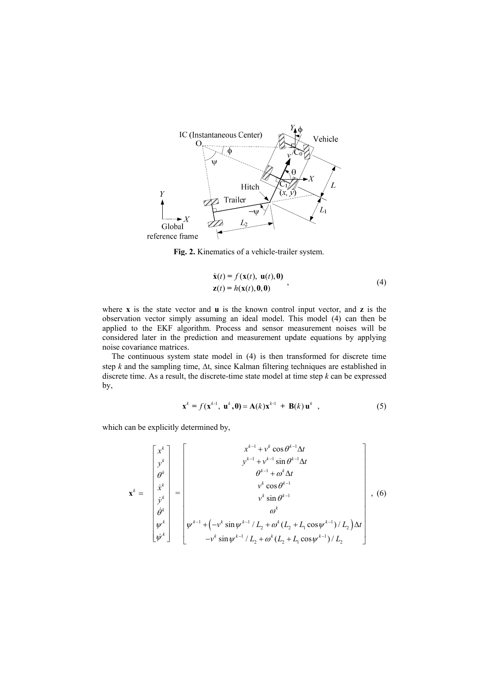

**Fig. 2.** Kinematics of a vehicle-trailer system.

$$
\dot{\mathbf{x}}(t) = f(\mathbf{x}(t), \mathbf{u}(t), \mathbf{0})
$$
  
\n
$$
\mathbf{z}(t) = h(\mathbf{x}(t), \mathbf{0}, \mathbf{0})
$$
\n(4)

where **x** is the state vector and **u** is the known control input vector, and **z** is the observation vector simply assuming an ideal model. This model (4) can then be applied to the EKF algorithm. Process and sensor measurement noises will be considered later in the prediction and measurement update equations by applying noise covariance matrices.

The continuous system state model in (4) is then transformed for discrete time step  $k$  and the sampling time,  $\Delta t$ , since Kalman filtering techniques are established in discrete time. As a result, the discrete-time state model at time step *k* can be expressed by,

$$
\mathbf{x}^{k} = f(\mathbf{x}^{k-1}, \mathbf{u}^{k}, \mathbf{0}) = \mathbf{A}(k)\mathbf{x}^{k-1} + \mathbf{B}(k)\mathbf{u}^{k} , \qquad (5)
$$

which can be explicitly determined by,

$$
\mathbf{x}^{k} = \begin{bmatrix} x^{k} \\ y^{k} \\ \theta^{k} \\ \vdots \\ y^{k} \\ \phi^{k} \\ \psi^{k} \\ \psi^{k} \end{bmatrix} = \begin{bmatrix} x^{k-1} + v^{k} \cos \theta^{k-1} \Delta t \\ y^{k-1} + v^{k-1} \sin \theta^{k-1} \Delta t \\ \theta^{k-1} + \omega^{k} \Delta t \\ v^{k} \cos \theta^{k-1} \\ v^{k} \sin \theta^{k-1} \\ \omega^{k} \\ \vdots \\ \omega^{k} \sin \theta^{k-1} \end{bmatrix}, (6)
$$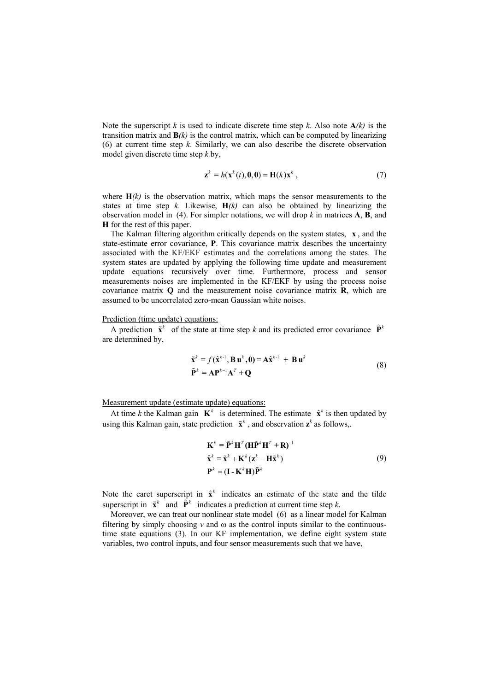Note the superscript *k* is used to indicate discrete time step *k*. Also note  $A(k)$  is the transition matrix and  $\mathbf{B}(k)$  is the control matrix, which can be computed by linearizing (6) at current time step *k*. Similarly, we can also describe the discrete observation model given discrete time step *k* by,

$$
\mathbf{z}^k = h(\mathbf{x}^k(t), \mathbf{0}, \mathbf{0}) = \mathbf{H}(k)\mathbf{x}^k , \qquad (7)
$$

where  $H(k)$  is the observation matrix, which maps the sensor measurements to the states at time step *k*. Likewise,  $H(k)$  can also be obtained by linearizing the observation model in (4). For simpler notations, we will drop  $k$  in matrices  $A$ ,  $B$ , and **H** for the rest of this paper.

The Kalman filtering algorithm critically depends on the system states, **x** , and the state-estimate error covariance, **P**. This covariance matrix describes the uncertainty associated with the KF/EKF estimates and the correlations among the states. The system states are updated by applying the following time update and measurement update equations recursively over time. Furthermore, process and sensor measurements noises are implemented in the KF/EKF by using the process noise covariance matrix **Q** and the measurement noise covariance matrix **R**, which are assumed to be uncorrelated zero-mean Gaussian white noises.

#### Prediction (time update) equations:

A prediction  $\tilde{\mathbf{x}}^k$  of the state at time step k and its predicted error covariance  $\tilde{\mathbf{P}}^k$ are determined by,

$$
\tilde{\mathbf{x}}^{k} = f(\hat{\mathbf{x}}^{k-1}, \mathbf{B} \mathbf{u}^{k}, \mathbf{0}) = \mathbf{A} \hat{\mathbf{x}}^{k-1} + \mathbf{B} \mathbf{u}^{k}
$$
\n
$$
\tilde{\mathbf{P}}^{k} = \mathbf{A} \mathbf{P}^{k-1} \mathbf{A}^{T} + \mathbf{Q}
$$
\n(8)

Measurement update (estimate update) equations:

At time *k* the Kalman gain  $\mathbf{K}^k$  is determined. The estimate  $\hat{\mathbf{x}}^k$  is then updated by using this Kalman gain, state prediction  $\tilde{\mathbf{x}}^k$ , and observation  $\mathbf{z}^k$  as follows,.

$$
\mathbf{K}^{k} = \tilde{\mathbf{P}}^{k} \mathbf{H}^{T} (\mathbf{H} \tilde{\mathbf{P}}^{k} \mathbf{H}^{T} + \mathbf{R})^{-1}
$$
  
\n
$$
\hat{\mathbf{x}}^{k} = \tilde{\mathbf{x}}^{k} + \mathbf{K}^{k} (\mathbf{z}^{k} - \mathbf{H} \tilde{\mathbf{x}}^{k})
$$
  
\n
$$
\mathbf{P}^{k} = (\mathbf{I} - \mathbf{K}^{k} \mathbf{H}) \tilde{\mathbf{P}}^{k}
$$
\n(9)

Note the caret superscript in  $\hat{x}^k$  indicates an estimate of the state and the tilde superscript in  $\tilde{\mathbf{x}}^k$  and  $\tilde{\mathbf{P}}^k$  indicates a prediction at current time step *k*.

Moreover, we can treat our nonlinear state model (6) as a linear model for Kalman filtering by simply choosing  $v$  and  $\omega$  as the control inputs similar to the continuoustime state equations (3). In our KF implementation, we define eight system state variables, two control inputs, and four sensor measurements such that we have,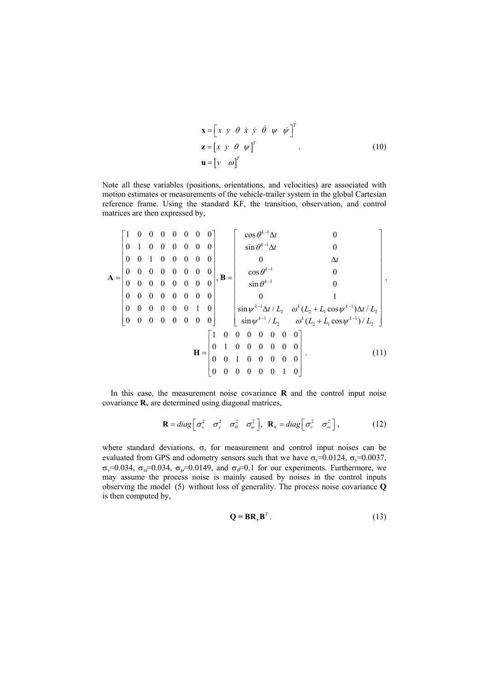$$
\mathbf{x} = \begin{bmatrix} x & y & \theta & \dot{x} & \dot{y} & \dot{\theta} & \psi & \dot{\psi} \end{bmatrix}^T
$$
  

$$
\mathbf{z} = \begin{bmatrix} x & y & \theta & \psi \end{bmatrix}^T
$$
  

$$
\mathbf{u} = \begin{bmatrix} v & \omega \end{bmatrix}^T
$$
 (10)

Note all these variables (positions, orientations, and velocities) are associated with motion estimates or measurements of the vehicle-trailer system in the global Cartesian reference frame. Using the standard KF, the transition, observation, and control matrices are then expressed by,

$$
\mathbf{A} = \begin{bmatrix} 1 & 0 & 0 & 0 & 0 & 0 & 0 & 0 \\ 0 & 1 & 0 & 0 & 0 & 0 & 0 & 0 \\ 0 & 0 & 1 & 0 & 0 & 0 & 0 & 0 \\ 0 & 0 & 0 & 0 & 0 & 0 & 0 & 0 \\ 0 & 0 & 0 & 0 & 0 & 0 & 0 & 0 \\ 0 & 0 & 0 & 0 & 0 & 0 & 0 & 0 \\ 0 & 0 & 0 & 0 & 0 & 0 & 0 & 0 \end{bmatrix}, \mathbf{B} = \begin{bmatrix} \cos \theta^{k-1} \Delta t & 0 & 0 & 0 \\ \sin \theta^{k-1} \Delta t & 0 & \Delta t & 0 \\ \cos \theta^{k-1} & 0 & 0 & 0 \\ \sin \theta^{k-1} & 0 & 0 & 0 \\ 0 & 0 & 0 & 0 & 0 & 0 \\ \sin \psi^{k-1} \Delta t / L_2 & \omega^k (L_2 + L_1 \cos \psi^{k-1}) \Delta t / L_2 \\ \sin \psi^{k-1} / L_2 & \omega^k (L_2 + L_1 \cos \psi^{k-1}) / L_2 \end{bmatrix},
$$

$$
\mathbf{H} = \begin{bmatrix} 1 & 0 & 0 & 0 & 0 & 0 & 0 \\ 0 & 1 & 0 & 0 & 0 & 0 & 0 \\ 0 & 0 & 1 & 0 & 0 & 0 & 0 & 0 \\ 0 & 0 & 0 & 0 & 0 & 0 & 1 & 0 \\ 0 & 0 & 0 & 0 & 0 & 0 & 1 & 0 \end{bmatrix}. \tag{11}
$$

In this case, the measurement noise covariance **R** and the control input noise covariance  $\mathbf{R}_v$  are determined using diagonal matrices,

$$
\mathbf{R} = diag\begin{bmatrix} \sigma_x^2 & \sigma_y^2 & \sigma_\theta^2 & \sigma_\psi^2 \end{bmatrix}, \ \mathbf{R}_v = diag\begin{bmatrix} \sigma_v^2 & \sigma_\omega^2 \end{bmatrix}, \tag{12}
$$

where standard deviations,  $\sigma$ , for measurement and control input noises can be evaluated from GPS and odometry sensors such that we have  $\sigma_x = 0.0124$ ,  $\sigma_y = 0.0037$ ,  $\sigma_{\nu}$ =0.034,  $\sigma_{\omega}$ =0.034,  $\sigma_{\nu}$ =0.0149, and  $\sigma_{\theta}$ =0.1 for our experiments. Furthermore, we may assume the process noise is mainly caused by noises in the control inputs observing the model (5) without loss of generality. The process noise covariance **Q** is then computed by,

$$
\mathbf{Q} = \mathbf{BR}_{\mathbf{v}} \mathbf{B}^T. \tag{13}
$$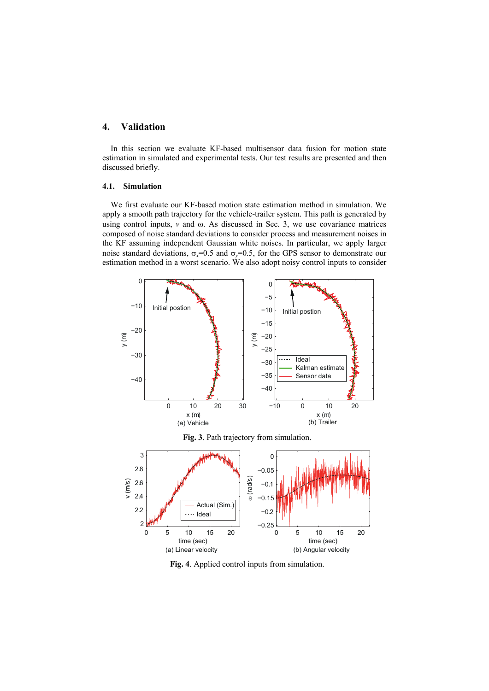# **4. Validation**

In this section we evaluate KF-based multisensor data fusion for motion state estimation in simulated and experimental tests. Our test results are presented and then discussed briefly.

#### **4.1. Simulation**

We first evaluate our KF-based motion state estimation method in simulation. We apply a smooth path trajectory for the vehicle-trailer system. This path is generated by using control inputs,  $v$  and  $\omega$ . As discussed in Sec. 3, we use covariance matrices composed of noise standard deviations to consider process and measurement noises in the KF assuming independent Gaussian white noises. In particular, we apply larger noise standard deviations,  $\sigma_x=0.5$  and  $\sigma_y=0.5$ , for the GPS sensor to demonstrate our estimation method in a worst scenario. We also adopt noisy control inputs to consider



**Fig. 3**. Path trajectory from simulation.



**Fig. 4**. Applied control inputs from simulation.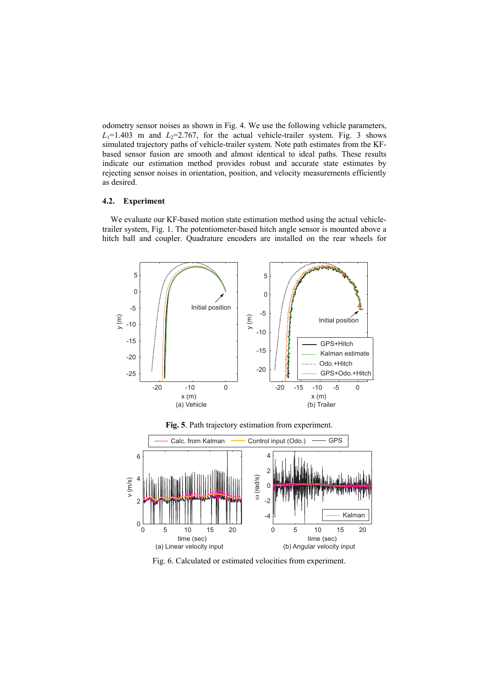odometry sensor noises as shown in Fig. 4. We use the following vehicle parameters,  $L_1$ =1.403 m and  $L_2$ =2.767, for the actual vehicle-trailer system. Fig. 3 shows simulated trajectory paths of vehicle-trailer system. Note path estimates from the KFbased sensor fusion are smooth and almost identical to ideal paths. These results indicate our estimation method provides robust and accurate state estimates by rejecting sensor noises in orientation, position, and velocity measurements efficiently as desired.

## **4.2. Experiment**

We evaluate our KF-based motion state estimation method using the actual vehicletrailer system, Fig. 1. The potentiometer-based hitch angle sensor is mounted above a hitch ball and coupler. Quadrature encoders are installed on the rear wheels for



**Fig. 5**. Path trajectory estimation from experiment.



Fig. 6. Calculated or estimated velocities from experiment.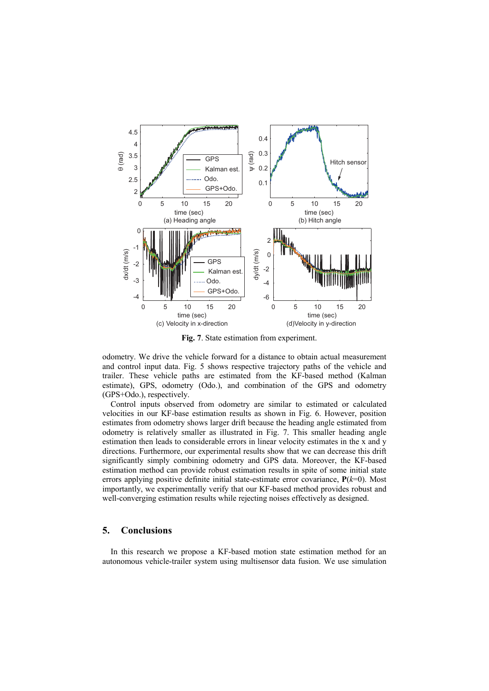

**Fig. 7**. State estimation from experiment.

odometry. We drive the vehicle forward for a distance to obtain actual measurement and control input data. Fig. 5 shows respective trajectory paths of the vehicle and trailer. These vehicle paths are estimated from the KF-based method (Kalman estimate), GPS, odometry (Odo.), and combination of the GPS and odometry (GPS+Odo.), respectively.

Control inputs observed from odometry are similar to estimated or calculated velocities in our KF-base estimation results as shown in Fig. 6. However, position estimates from odometry shows larger drift because the heading angle estimated from odometry is relatively smaller as illustrated in Fig. 7. This smaller heading angle estimation then leads to considerable errors in linear velocity estimates in the x and y directions. Furthermore, our experimental results show that we can decrease this drift significantly simply combining odometry and GPS data. Moreover, the KF-based estimation method can provide robust estimation results in spite of some initial state errors applying positive definite initial state-estimate error covariance, **P**(*k*=0). Most importantly, we experimentally verify that our KF-based method provides robust and well-converging estimation results while rejecting noises effectively as designed.

# **5. Conclusions**

In this research we propose a KF-based motion state estimation method for an autonomous vehicle-trailer system using multisensor data fusion. We use simulation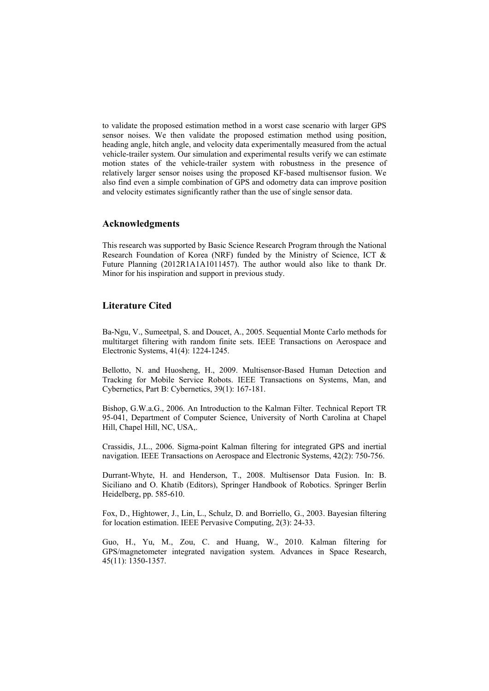to validate the proposed estimation method in a worst case scenario with larger GPS sensor noises. We then validate the proposed estimation method using position, heading angle, hitch angle, and velocity data experimentally measured from the actual vehicle-trailer system. Our simulation and experimental results verify we can estimate motion states of the vehicle-trailer system with robustness in the presence of relatively larger sensor noises using the proposed KF-based multisensor fusion. We also find even a simple combination of GPS and odometry data can improve position and velocity estimates significantly rather than the use of single sensor data.

## **Acknowledgments**

This research was supported by Basic Science Research Program through the National Research Foundation of Korea (NRF) funded by the Ministry of Science, ICT & Future Planning (2012R1A1A1011457). The author would also like to thank Dr. Minor for his inspiration and support in previous study.

## **Literature Cited**

Ba-Ngu, V., Sumeetpal, S. and Doucet, A., 2005. Sequential Monte Carlo methods for multitarget filtering with random finite sets. IEEE Transactions on Aerospace and Electronic Systems, 41(4): 1224-1245.

Bellotto, N. and Huosheng, H., 2009. Multisensor-Based Human Detection and Tracking for Mobile Service Robots. IEEE Transactions on Systems, Man, and Cybernetics, Part B: Cybernetics, 39(1): 167-181.

Bishop, G.W.a.G., 2006. An Introduction to the Kalman Filter. Technical Report TR 95-041, Department of Computer Science, University of North Carolina at Chapel Hill, Chapel Hill, NC, USA,.

Crassidis, J.L., 2006. Sigma-point Kalman filtering for integrated GPS and inertial navigation. IEEE Transactions on Aerospace and Electronic Systems, 42(2): 750-756.

Durrant-Whyte, H. and Henderson, T., 2008. Multisensor Data Fusion. In: B. Siciliano and O. Khatib (Editors), Springer Handbook of Robotics. Springer Berlin Heidelberg, pp. 585-610.

Fox, D., Hightower, J., Lin, L., Schulz, D. and Borriello, G., 2003. Bayesian filtering for location estimation. IEEE Pervasive Computing, 2(3): 24-33.

Guo, H., Yu, M., Zou, C. and Huang, W., 2010. Kalman filtering for GPS/magnetometer integrated navigation system. Advances in Space Research, 45(11): 1350-1357.